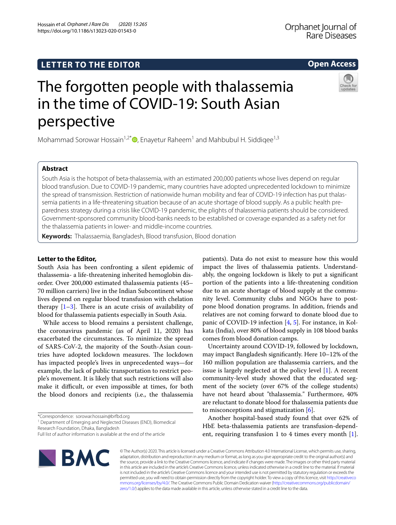# **LETTER TO THE EDITOR**

# **Open Access**

# The forgotten people with thalassemia in the time of COVID-19: South Asian perspective

Mohammad Sorowar Hossain<sup>1,2[\\*](http://orcid.org/0000-0001-7143-2909)</sup>®, Enayetur Raheem<sup>1</sup> and Mahbubul H. Siddiqee<sup>1,3</sup>

# **Abstract**

South Asia is the hotspot of beta-thalassemia, with an estimated 200,000 patients whose lives depend on regular blood transfusion. Due to COVID-19 pandemic, many countries have adopted unprecedented lockdown to minimize the spread of transmission. Restriction of nationwide human mobility and fear of COVID-19 infection has put thalassemia patients in a life-threatening situation because of an acute shortage of blood supply. As a public health preparedness strategy during a crisis like COVID-19 pandemic, the plights of thalassemia patients should be considered. Government-sponsored community blood-banks needs to be established or coverage expanded as a safety net for the thalassemia patients in lower- and middle-income countries.

**Keywords:** Thalassaemia, Bangladesh, Blood transfusion, Blood donation

# **Letter to the Editor,**

South Asia has been confronting a silent epidemic of thalassemia- a life-threatening inherited hemoglobin disorder. Over 200,000 estimated thalassemia patients (45– 70 million carriers) live in the Indian Subcontinent whose lives depend on regular blood transfusion with chelation therapy  $[1-3]$  $[1-3]$  $[1-3]$ . There is an acute crisis of availability of blood for thalassemia patients especially in South Asia.

While access to blood remains a persistent challenge, the coronavirus pandemic (as of April 11, 2020) has exacerbated the circumstances. To minimize the spread of SARS-CoV-2, the majority of the South-Asian countries have adopted lockdown measures. The lockdown has impacted people's lives in unprecedented ways—for example, the lack of public transportation to restrict people's movement. It is likely that such restrictions will also make it difficult, or even impossible at times, for both the blood donors and recipients (i.e., the thalassemia

<sup>1</sup> Department of Emerging and Neglected Diseases (END), Biomedical Research Foundation, Dhaka, Bangladesh

patients). Data do not exist to measure how this would impact the lives of thalassemia patients. Understandably, the ongoing lockdown is likely to put a signifcant portion of the patients into a life-threatening condition due to an acute shortage of blood supply at the community level. Community clubs and NGOs have to postpone blood donation programs. In addition, friends and relatives are not coming forward to donate blood due to panic of COVID-19 infection [\[4](#page-1-2), [5](#page-1-3)]. For instance, in Kolkata (India), over 80% of blood supply in 108 blood banks comes from blood donation camps.

Uncertainty around COVID-19, followed by lockdown, may impact Bangladesh signifcantly. Here 10–12% of the 160 million population are thalassemia carriers, and the issue is largely neglected at the policy level  $[1]$  $[1]$ . A recent community-level study showed that the educated segment of the society (over 67% of the college students) have not heard about "thalassemia." Furthermore, 40% are reluctant to donate blood for thalassemia patients due to misconceptions and stigmatization [\[6](#page-1-4)].

Another hospital-based study found that over 62% of HbE beta-thalassemia patients are transfusion-dependent, requiring transfusion 1 to 4 times every month [\[1](#page-1-0)].



© The Author(s) 2020. This article is licensed under a Creative Commons Attribution 4.0 International License, which permits use, sharing, adaptation, distribution and reproduction in any medium or format, as long as you give appropriate credit to the original author(s) and the source, provide a link to the Creative Commons licence, and indicate if changes were made. The images or other third party material in this article are included in the article's Creative Commons licence, unless indicated otherwise in a credit line to the material. If material is not included in the article's Creative Commons licence and your intended use is not permitted by statutory regulation or exceeds the permitted use, you will need to obtain permission directly from the copyright holder. To view a copy of this licence, visit [http://creativeco](http://creativecommons.org/licenses/by/4.0/) [mmons.org/licenses/by/4.0/.](http://creativecommons.org/licenses/by/4.0/) The Creative Commons Public Domain Dedication waiver ([http://creativecommons.org/publicdomain/](http://creativecommons.org/publicdomain/zero/1.0/) [zero/1.0/\)](http://creativecommons.org/publicdomain/zero/1.0/) applies to the data made available in this article, unless otherwise stated in a credit line to the data.

<sup>\*</sup>Correspondence: sorowar.hossain@brfbd.org

Full list of author information is available at the end of the article